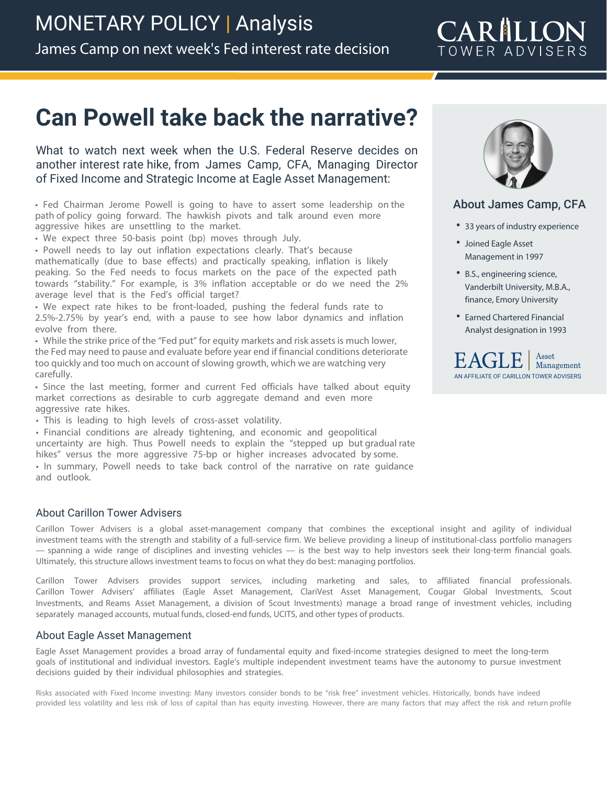## **Can Powell take back the narrative?**

What to watch next week when the U.S. Federal Reserve decides on another interest rate hike, from James Camp, CFA, Managing Director of Fixed Income and Strategic Income at Eagle Asset Management:

• Fed Chairman Jerome Powell is going to have to assert some leadership on the path of policy going forward. The hawkish pivots and talk around even more aggressive hikes are unsettling to the market.

• We expect three 50-basis point (bp) moves through July.

• Powell needs to lay out inflation expectations clearly. That's because mathematically (due to base effects) and practically speaking, inflation is likely peaking. So the Fed needs to focus markets on the pace of the expected path towards "stability." For example, is 3% inflation acceptable or do we need the 2% average level that is the Fed's official target?

• We expect rate hikes to be front-loaded, pushing the federal funds rate to 2.5%-2.75% by year's end, with a pause to see how labor dynamics and inflation evolve from there.

• While the strike price of the "Fed put" for equity markets and risk assets is much lower, the Fed may need to pause and evaluate before year end if financial conditions deteriorate too quickly and too much on account of slowing growth, which we are watching very carefully.

• Since the last meeting, former and current Fed officials have talked about equity market corrections as desirable to curb aggregate demand and even more aggressive rate hikes.

• This is leading to high levels of cross-asset volatility.

• Financial conditions are already tightening, and economic and geopolitical uncertainty are high. Thus Powell needs to explain the "stepped up but gradual rate hikes" versus the more aggressive 75-bp or higher increases advocated by some.

• In summary, Powell needs to take back control of the narrative on rate guidance and outlook.

## About Carillon Tower Advisers

Carillon Tower Advisers is a global asset-management company that combines the exceptional insight and agility of individual investment teams with the strength and stability of a full-service firm. We believe providing a lineup of institutional-class portfolio managers — spanning a wide range of disciplines and investing vehicles — is the best way to help investors seek their long-term financial goals. Ultimately, this structure allows investment teams to focus on what they do best: managing portfolios.

Carillon Tower Advisers provides support services, including marketing and sales, to affiliated financial professionals. Carillon Tower Advisers' affiliates (Eagle Asset Management, ClariVest Asset Management, Cougar Global Investments, Scout Investments, and Reams Asset Management, a division of Scout Investments) manage a broad range of investment vehicles, including separately managed accounts, mutual funds, closed-end funds, UCITS, and other types of products.

## About Eagle Asset Management

Eagle Asset Management provides a broad array of fundamental equity and fixed-income strategies designed to meet the long-term goals of institutional and individual investors. Eagle's multiple independent investment teams have the autonomy to pursue investment decisions guided by their individual philosophies and strategies.

Risks associated with Fixed Income investing: Many investors consider bonds to be "risk free" investment vehicles. Historically, bonds have indeed provided less volatility and less risk of loss of capital than has equity investing. However, there are many factors that may affect the risk and return profile



## About James Camp, CFA

- **•** 33 years of industry experience
- **•** Joined Eagle Asset Management in 1997
- **•** B.S., engineering science, Vanderbilt University, M.B.A., finance, Emory University
- **•** Earned Chartered Financial Analyst designation in 1993